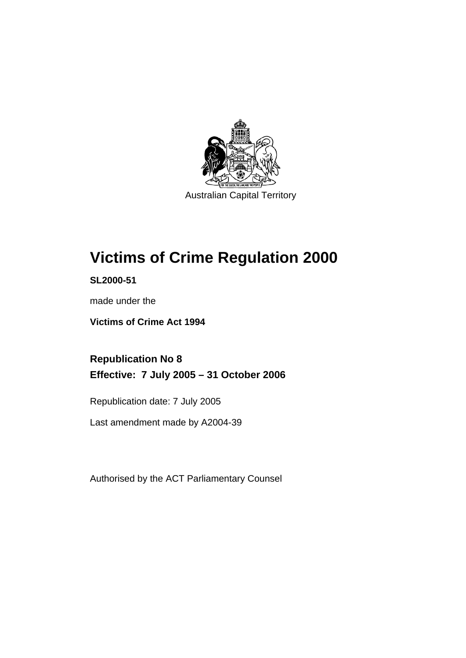

Australian Capital Territory

# **Victims of Crime Regulation 2000**

**SL2000-51** 

made under the

**Victims of Crime Act 1994** 

**Republication No 8 Effective: 7 July 2005 – 31 October 2006** 

Republication date: 7 July 2005

Last amendment made by A2004-39

Authorised by the ACT Parliamentary Counsel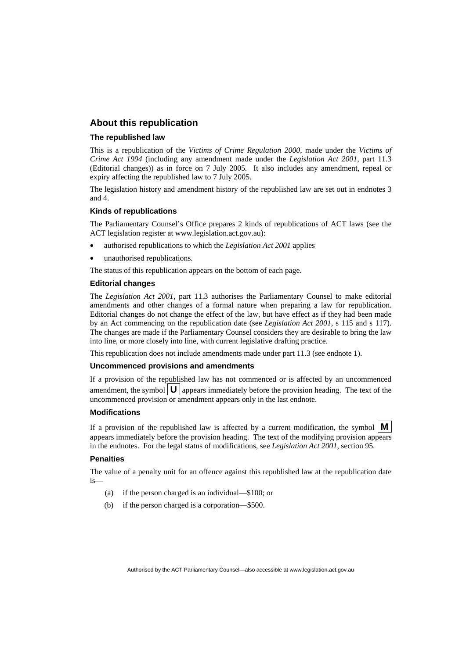#### **About this republication**

#### **The republished law**

This is a republication of the *Victims of Crime Regulation 2000*, made under the *Victims of Crime Act 1994* (including any amendment made under the *Legislation Act 2001*, part 11.3 (Editorial changes)) as in force on 7 July 2005*.* It also includes any amendment, repeal or expiry affecting the republished law to 7 July 2005.

The legislation history and amendment history of the republished law are set out in endnotes 3 and 4.

#### **Kinds of republications**

The Parliamentary Counsel's Office prepares 2 kinds of republications of ACT laws (see the ACT legislation register at www.legislation.act.gov.au):

- authorised republications to which the *Legislation Act 2001* applies
- unauthorised republications.

The status of this republication appears on the bottom of each page.

#### **Editorial changes**

The *Legislation Act 2001*, part 11.3 authorises the Parliamentary Counsel to make editorial amendments and other changes of a formal nature when preparing a law for republication. Editorial changes do not change the effect of the law, but have effect as if they had been made by an Act commencing on the republication date (see *Legislation Act 2001*, s 115 and s 117). The changes are made if the Parliamentary Counsel considers they are desirable to bring the law into line, or more closely into line, with current legislative drafting practice.

This republication does not include amendments made under part 11.3 (see endnote 1).

#### **Uncommenced provisions and amendments**

If a provision of the republished law has not commenced or is affected by an uncommenced amendment, the symbol  $\mathbf{U}$  appears immediately before the provision heading. The text of the uncommenced provision or amendment appears only in the last endnote.

#### **Modifications**

If a provision of the republished law is affected by a current modification, the symbol  $\mathbf{M}$ appears immediately before the provision heading. The text of the modifying provision appears in the endnotes. For the legal status of modifications, see *Legislation Act 2001*, section 95.

#### **Penalties**

The value of a penalty unit for an offence against this republished law at the republication date is—

- (a) if the person charged is an individual—\$100; or
- (b) if the person charged is a corporation—\$500.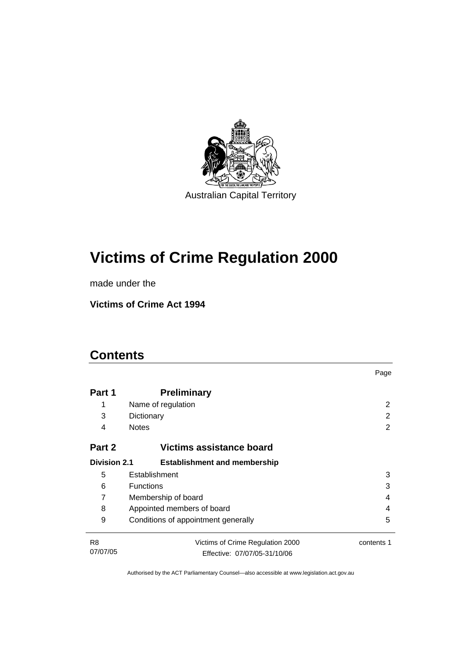

# **Victims of Crime Regulation 2000**

made under the

**Victims of Crime Act 1994** 

### **Contents**

|                     |                                     | Page       |  |
|---------------------|-------------------------------------|------------|--|
| Part 1              | <b>Preliminary</b>                  |            |  |
| 1                   | Name of regulation                  | 2          |  |
| 3                   | Dictionary                          | 2          |  |
| 4                   | <b>Notes</b>                        | 2          |  |
| Part 2              | Victims assistance board            |            |  |
| <b>Division 2.1</b> | <b>Establishment and membership</b> |            |  |
| 5                   | Establishment                       | 3          |  |
| 6                   | <b>Functions</b><br>3               |            |  |
| 7                   | Membership of board<br>4            |            |  |
| 8                   | Appointed members of board<br>4     |            |  |
| 9                   | Conditions of appointment generally | 5          |  |
| R <sub>8</sub>      | Victims of Crime Regulation 2000    | contents 1 |  |
| 07/07/05            | Effective: 07/07/05-31/10/06        |            |  |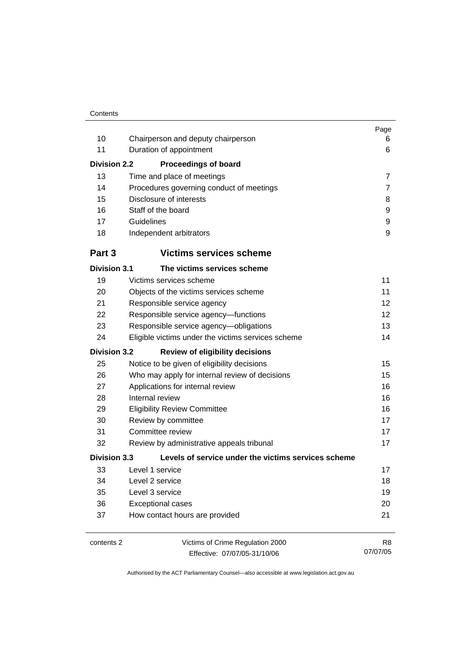| 10<br>11<br>Division 2.2<br>13 | Chairperson and deputy chairperson<br>Duration of appointment<br><b>Proceedings of board</b><br>Time and place of meetings | Page<br>6<br>6<br>$\overline{7}$ |
|--------------------------------|----------------------------------------------------------------------------------------------------------------------------|----------------------------------|
| 14                             | Procedures governing conduct of meetings                                                                                   | 7                                |
| 15                             | Disclosure of interests                                                                                                    | 8                                |
| 16                             | Staff of the board                                                                                                         | 9                                |
| 17                             | Guidelines                                                                                                                 | 9                                |
| 18                             | Independent arbitrators                                                                                                    | 9                                |
| Part 3                         | <b>Victims services scheme</b>                                                                                             |                                  |
| <b>Division 3.1</b>            | The victims services scheme                                                                                                |                                  |
| 19                             | Victims services scheme                                                                                                    | 11                               |
| 20                             | Objects of the victims services scheme                                                                                     | 11                               |
| 21                             | Responsible service agency                                                                                                 | 12                               |
| 22                             | Responsible service agency-functions                                                                                       | 12                               |
| 23                             | Responsible service agency-obligations                                                                                     | 13                               |
| 24                             | Eligible victims under the victims services scheme                                                                         | 14                               |
| <b>Division 3.2</b>            | <b>Review of eligibility decisions</b>                                                                                     |                                  |
| 25                             | Notice to be given of eligibility decisions                                                                                | 15                               |
| 26                             | Who may apply for internal review of decisions                                                                             | 15                               |
| 27                             | Applications for internal review                                                                                           | 16                               |
| 28                             | Internal review                                                                                                            | 16                               |
| 29                             | <b>Eligibility Review Committee</b>                                                                                        | 16                               |
| 30                             | Review by committee                                                                                                        | 17                               |
| 31                             | Committee review                                                                                                           | 17                               |
| 32                             | Review by administrative appeals tribunal                                                                                  | 17                               |
| Division 3.3                   | Levels of service under the victims services scheme                                                                        |                                  |
| 33                             | Level 1 service                                                                                                            | 17                               |
| 34                             | Level 2 service                                                                                                            | 18                               |
| 35                             | Level 3 service                                                                                                            | 19                               |
| 36                             | <b>Exceptional cases</b>                                                                                                   | 20                               |
| 37                             | How contact hours are provided                                                                                             | 21                               |
| contents 2                     | Victims of Crime Regulation 2000<br>Effective: 07/07/05-31/10/06                                                           | R <sub>8</sub><br>07/07/05       |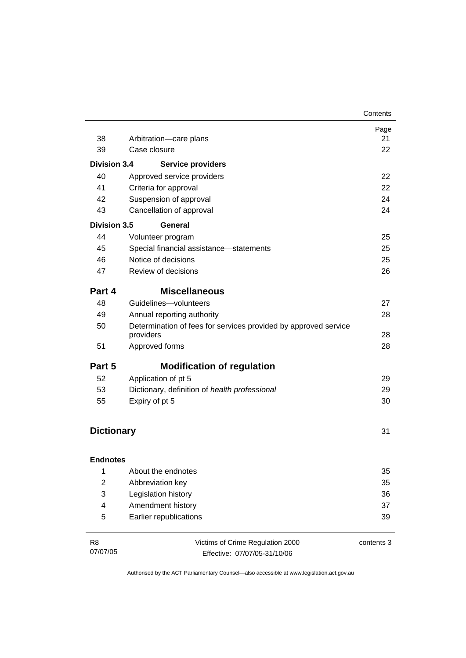|                     |                                                                              | Contents   |
|---------------------|------------------------------------------------------------------------------|------------|
|                     |                                                                              | Page       |
| 38                  | Arbitration-care plans                                                       | 21         |
| 39                  | Case closure                                                                 | 22         |
| <b>Division 3.4</b> | <b>Service providers</b>                                                     |            |
| 40                  | Approved service providers                                                   | 22         |
| 41                  | Criteria for approval                                                        | 22         |
| 42                  | Suspension of approval                                                       | 24         |
| 43                  | Cancellation of approval                                                     | 24         |
| <b>Division 3.5</b> | General                                                                      |            |
| 44                  | Volunteer program                                                            | 25         |
| 45                  | Special financial assistance-statements                                      | 25         |
| 46                  | Notice of decisions                                                          | 25         |
| 47                  | Review of decisions                                                          | 26         |
| Part 4              | <b>Miscellaneous</b>                                                         |            |
| 48                  | Guidelines-volunteers                                                        | 27         |
| 49                  | Annual reporting authority                                                   | 28         |
| 50                  | Determination of fees for services provided by approved service<br>providers | 28         |
| 51                  | Approved forms                                                               | 28         |
| Part 5              | <b>Modification of regulation</b>                                            |            |
| 52                  | Application of pt 5                                                          | 29         |
| 53                  | Dictionary, definition of health professional                                | 29         |
| 55                  | Expiry of pt 5                                                               | 30         |
| <b>Dictionary</b>   |                                                                              | 31         |
|                     |                                                                              |            |
| <b>Endnotes</b>     |                                                                              |            |
| 1                   | About the endnotes                                                           | 35         |
| 2                   | Abbreviation key                                                             | 35         |
| 3                   | Legislation history                                                          | 36         |
| 4                   | Amendment history                                                            | 37         |
| 5                   | Earlier republications                                                       | 39         |
| R <sub>8</sub>      | Victims of Crime Regulation 2000                                             | contents 3 |
| 07/07/05            | Effective: 07/07/05-31/10/06                                                 |            |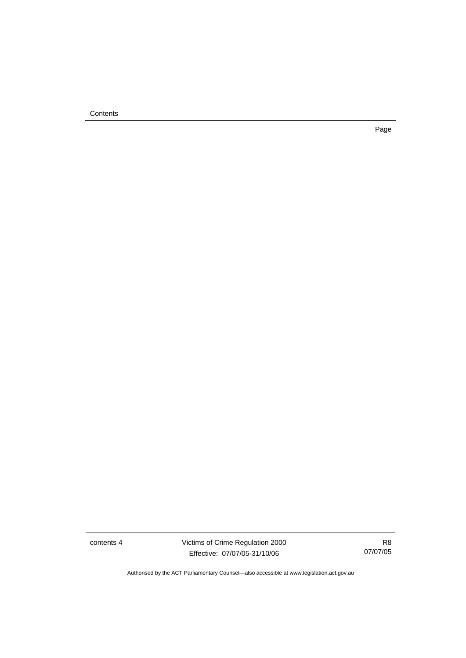**Contents** 

Page

contents 4 Victims of Crime Regulation 2000 Effective: 07/07/05-31/10/06

R8 07/07/05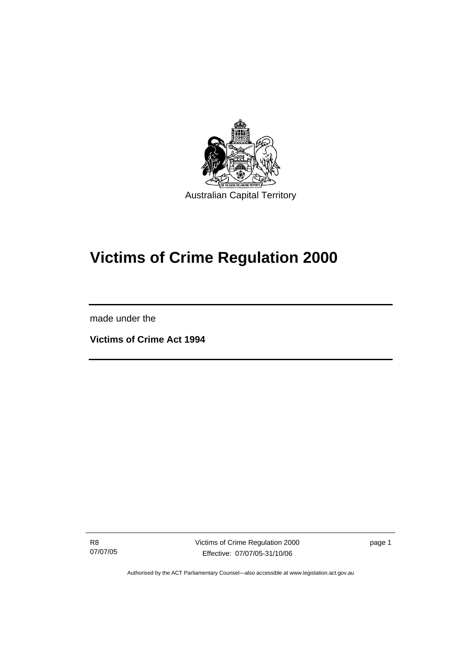

# **Victims of Crime Regulation 2000**

made under the

l

**Victims of Crime Act 1994** 

R8 07/07/05 Victims of Crime Regulation 2000 Effective: 07/07/05-31/10/06

page 1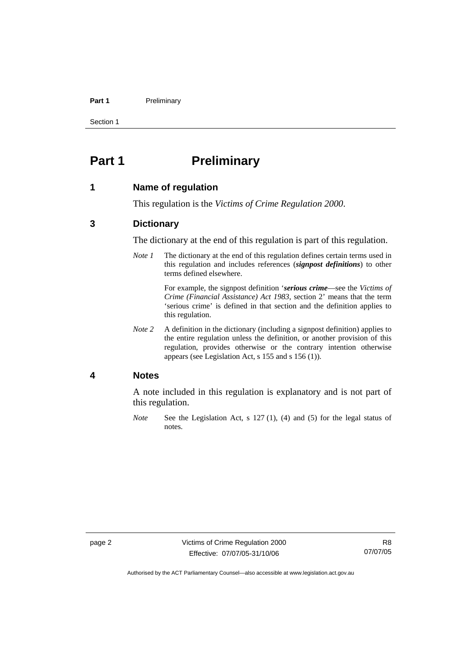#### Part 1 **Preliminary**

Section 1

### **Part 1** Preliminary

#### **1 Name of regulation**

This regulation is the *Victims of Crime Regulation 2000*.

#### **3 Dictionary**

The dictionary at the end of this regulation is part of this regulation.

*Note 1* The dictionary at the end of this regulation defines certain terms used in this regulation and includes references (*signpost definitions*) to other terms defined elsewhere.

> For example, the signpost definition '*serious crime*—see the *Victims of Crime (Financial Assistance) Act 1983*, section 2' means that the term 'serious crime' is defined in that section and the definition applies to this regulation.

*Note 2* A definition in the dictionary (including a signpost definition) applies to the entire regulation unless the definition, or another provision of this regulation, provides otherwise or the contrary intention otherwise appears (see Legislation Act, s 155 and s 156 (1)).

#### **4 Notes**

A note included in this regulation is explanatory and is not part of this regulation.

*Note* See the Legislation Act, s 127 (1), (4) and (5) for the legal status of notes.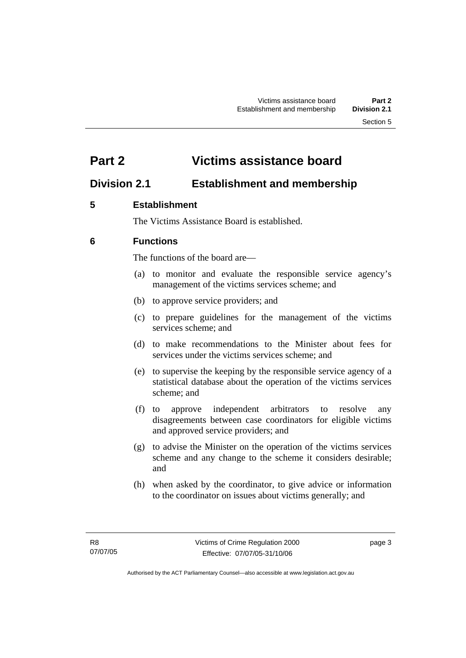### **Part 2 Victims assistance board**

### **Division 2.1 Establishment and membership**

#### **5 Establishment**

The Victims Assistance Board is established.

#### **6 Functions**

The functions of the board are—

- (a) to monitor and evaluate the responsible service agency's management of the victims services scheme; and
- (b) to approve service providers; and
- (c) to prepare guidelines for the management of the victims services scheme; and
- (d) to make recommendations to the Minister about fees for services under the victims services scheme; and
- (e) to supervise the keeping by the responsible service agency of a statistical database about the operation of the victims services scheme; and
- (f) to approve independent arbitrators to resolve any disagreements between case coordinators for eligible victims and approved service providers; and
- (g) to advise the Minister on the operation of the victims services scheme and any change to the scheme it considers desirable; and
- (h) when asked by the coordinator, to give advice or information to the coordinator on issues about victims generally; and

page 3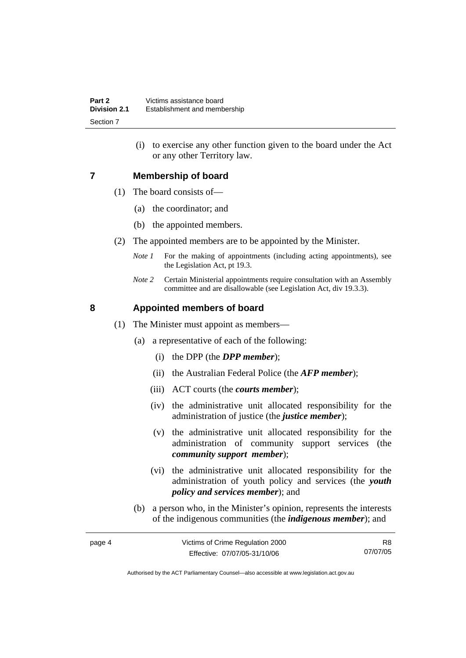(i) to exercise any other function given to the board under the Act or any other Territory law.

#### **7 Membership of board**

- (1) The board consists of—
	- (a) the coordinator; and
	- (b) the appointed members.
- (2) The appointed members are to be appointed by the Minister.
	- *Note 1* For the making of appointments (including acting appointments), see the Legislation Act, pt 19.3.
	- *Note 2* Certain Ministerial appointments require consultation with an Assembly committee and are disallowable (see Legislation Act, div 19.3.3).

#### **8 Appointed members of board**

- (1) The Minister must appoint as members—
	- (a) a representative of each of the following:
		- (i) the DPP (the *DPP member*);
		- (ii) the Australian Federal Police (the *AFP member*);
		- (iii) ACT courts (the *courts member*);
		- (iv) the administrative unit allocated responsibility for the administration of justice (the *justice member*);
		- (v) the administrative unit allocated responsibility for the administration of community support services (the *community support member*);
		- (vi) the administrative unit allocated responsibility for the administration of youth policy and services (the *youth policy and services member*); and
	- (b) a person who, in the Minister's opinion, represents the interests of the indigenous communities (the *indigenous member*); and

| page 4 | Victims of Crime Regulation 2000 | R8       |
|--------|----------------------------------|----------|
|        | Effective: 07/07/05-31/10/06     | 07/07/05 |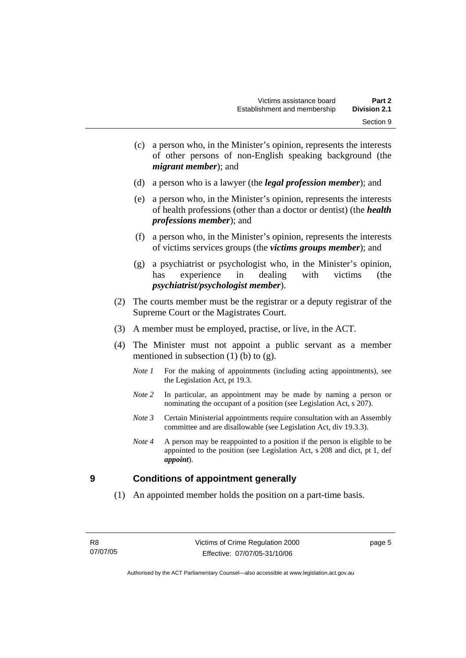- (c) a person who, in the Minister's opinion, represents the interests of other persons of non-English speaking background (the *migrant member*); and
- (d) a person who is a lawyer (the *legal profession member*); and
- (e) a person who, in the Minister's opinion, represents the interests of health professions (other than a doctor or dentist) (the *health professions member*); and
- (f) a person who, in the Minister's opinion, represents the interests of victims services groups (the *victims groups member*); and
- (g) a psychiatrist or psychologist who, in the Minister's opinion, has experience in dealing with victims (the *psychiatrist/psychologist member*).
- (2) The courts member must be the registrar or a deputy registrar of the Supreme Court or the Magistrates Court.
- (3) A member must be employed, practise, or live, in the ACT.
- (4) The Minister must not appoint a public servant as a member mentioned in subsection  $(1)$  (b) to  $(g)$ .
	- *Note 1* For the making of appointments (including acting appointments), see the Legislation Act, pt 19.3.
	- *Note* 2 In particular, an appointment may be made by naming a person or nominating the occupant of a position (see Legislation Act, s 207).
	- *Note 3* Certain Ministerial appointments require consultation with an Assembly committee and are disallowable (see Legislation Act, div 19.3.3).
	- *Note 4* A person may be reappointed to a position if the person is eligible to be appointed to the position (see Legislation Act, s 208 and dict, pt 1, def *appoint*).

#### **9 Conditions of appointment generally**

(1) An appointed member holds the position on a part-time basis.

page 5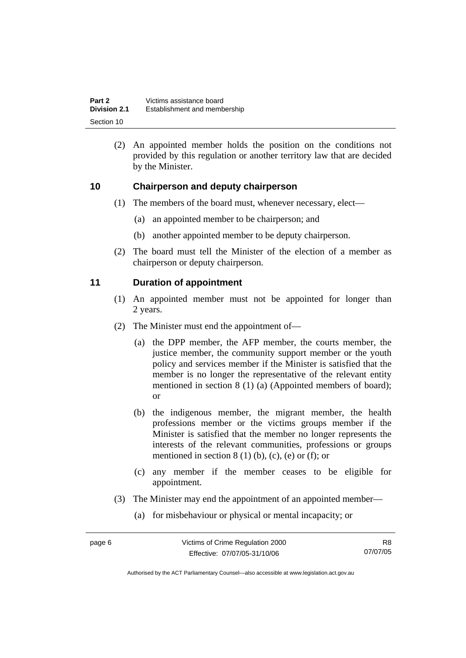| Part 2              | Victims assistance board     |
|---------------------|------------------------------|
| <b>Division 2.1</b> | Establishment and membership |
| Section 10          |                              |

 (2) An appointed member holds the position on the conditions not provided by this regulation or another territory law that are decided by the Minister.

#### **10 Chairperson and deputy chairperson**

- (1) The members of the board must, whenever necessary, elect—
	- (a) an appointed member to be chairperson; and
	- (b) another appointed member to be deputy chairperson.
- (2) The board must tell the Minister of the election of a member as chairperson or deputy chairperson.

#### **11 Duration of appointment**

- (1) An appointed member must not be appointed for longer than 2 years.
- (2) The Minister must end the appointment of—
	- (a) the DPP member, the AFP member, the courts member, the justice member, the community support member or the youth policy and services member if the Minister is satisfied that the member is no longer the representative of the relevant entity mentioned in section 8 (1) (a) (Appointed members of board); or
	- (b) the indigenous member, the migrant member, the health professions member or the victims groups member if the Minister is satisfied that the member no longer represents the interests of the relevant communities, professions or groups mentioned in section  $8(1)$  (b), (c), (e) or (f); or
	- (c) any member if the member ceases to be eligible for appointment.
- (3) The Minister may end the appointment of an appointed member—
	- (a) for misbehaviour or physical or mental incapacity; or

R8 07/07/05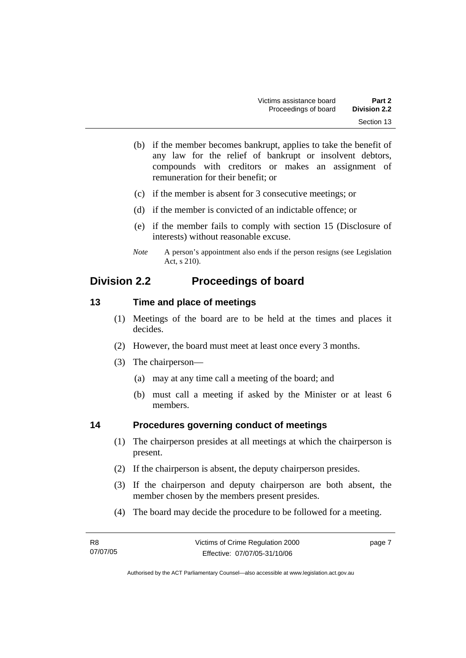- (b) if the member becomes bankrupt, applies to take the benefit of any law for the relief of bankrupt or insolvent debtors, compounds with creditors or makes an assignment of remuneration for their benefit; or
- (c) if the member is absent for 3 consecutive meetings; or
- (d) if the member is convicted of an indictable offence; or
- (e) if the member fails to comply with section 15 (Disclosure of interests) without reasonable excuse.
- *Note* A person's appointment also ends if the person resigns (see Legislation Act, s 210).

### **Division 2.2 Proceedings of board**

#### **13 Time and place of meetings**

- (1) Meetings of the board are to be held at the times and places it decides.
- (2) However, the board must meet at least once every 3 months.
- (3) The chairperson—
	- (a) may at any time call a meeting of the board; and
	- (b) must call a meeting if asked by the Minister or at least 6 members.

#### **14 Procedures governing conduct of meetings**

- (1) The chairperson presides at all meetings at which the chairperson is present.
- (2) If the chairperson is absent, the deputy chairperson presides.
- (3) If the chairperson and deputy chairperson are both absent, the member chosen by the members present presides.
- (4) The board may decide the procedure to be followed for a meeting.

| R8       | Victims of Crime Regulation 2000 | page 7 |
|----------|----------------------------------|--------|
| 07/07/05 | Effective: 07/07/05-31/10/06     |        |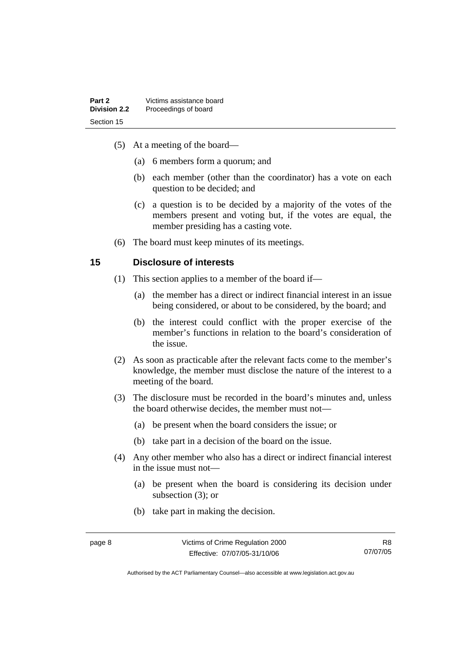- (5) At a meeting of the board—
	- (a) 6 members form a quorum; and
	- (b) each member (other than the coordinator) has a vote on each question to be decided; and
	- (c) a question is to be decided by a majority of the votes of the members present and voting but, if the votes are equal, the member presiding has a casting vote.
- (6) The board must keep minutes of its meetings.

#### **15 Disclosure of interests**

- (1) This section applies to a member of the board if—
	- (a) the member has a direct or indirect financial interest in an issue being considered, or about to be considered, by the board; and
	- (b) the interest could conflict with the proper exercise of the member's functions in relation to the board's consideration of the issue.
- (2) As soon as practicable after the relevant facts come to the member's knowledge, the member must disclose the nature of the interest to a meeting of the board.
- (3) The disclosure must be recorded in the board's minutes and, unless the board otherwise decides, the member must not—
	- (a) be present when the board considers the issue; or
	- (b) take part in a decision of the board on the issue.
- (4) Any other member who also has a direct or indirect financial interest in the issue must not—
	- (a) be present when the board is considering its decision under subsection (3); or
	- (b) take part in making the decision.

R8 07/07/05

Authorised by the ACT Parliamentary Counsel—also accessible at www.legislation.act.gov.au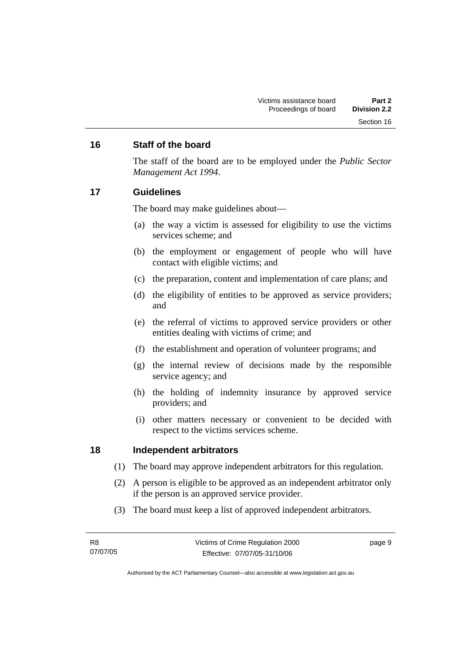#### **16 Staff of the board**

The staff of the board are to be employed under the *Public Sector Management Act 1994*.

#### **17 Guidelines**

The board may make guidelines about—

- (a) the way a victim is assessed for eligibility to use the victims services scheme; and
- (b) the employment or engagement of people who will have contact with eligible victims; and
- (c) the preparation, content and implementation of care plans; and
- (d) the eligibility of entities to be approved as service providers; and
- (e) the referral of victims to approved service providers or other entities dealing with victims of crime; and
- (f) the establishment and operation of volunteer programs; and
- (g) the internal review of decisions made by the responsible service agency; and
- (h) the holding of indemnity insurance by approved service providers; and
- (i) other matters necessary or convenient to be decided with respect to the victims services scheme.

#### **18 Independent arbitrators**

- (1) The board may approve independent arbitrators for this regulation.
- (2) A person is eligible to be approved as an independent arbitrator only if the person is an approved service provider.
- (3) The board must keep a list of approved independent arbitrators.

page 9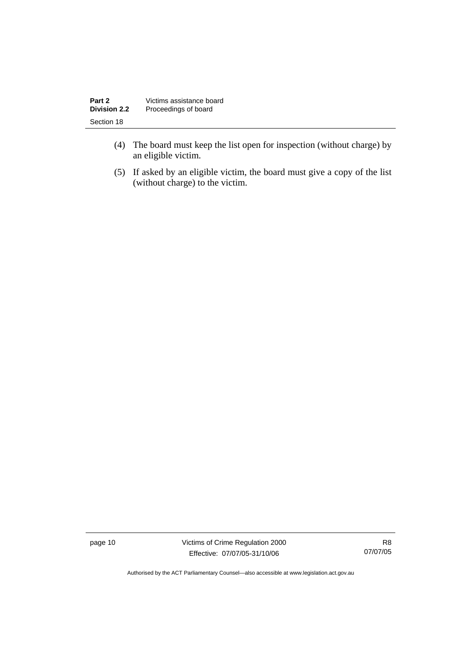| Part 2              | Victims assistance board |
|---------------------|--------------------------|
| <b>Division 2.2</b> | Proceedings of board     |
| Section 18          |                          |

- (4) The board must keep the list open for inspection (without charge) by an eligible victim.
- (5) If asked by an eligible victim, the board must give a copy of the list (without charge) to the victim.

page 10 Victims of Crime Regulation 2000 Effective: 07/07/05-31/10/06

R8 07/07/05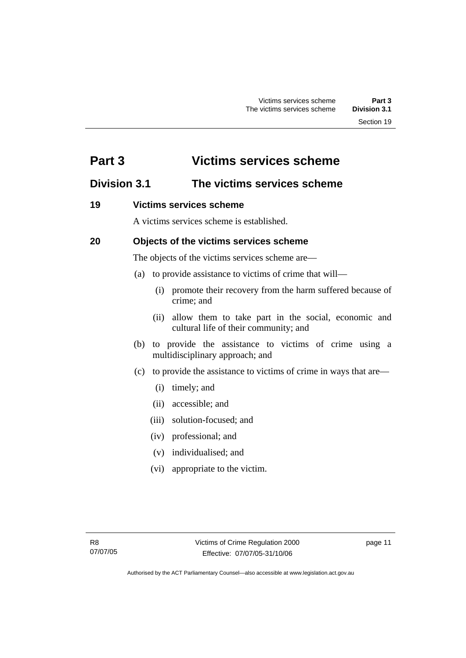### **Part 3 Victims services scheme**

### **Division 3.1 The victims services scheme**

#### **19 Victims services scheme**

A victims services scheme is established.

### **20 Objects of the victims services scheme**

The objects of the victims services scheme are—

- (a) to provide assistance to victims of crime that will—
	- (i) promote their recovery from the harm suffered because of crime; and
	- (ii) allow them to take part in the social, economic and cultural life of their community; and
- (b) to provide the assistance to victims of crime using a multidisciplinary approach; and
- (c) to provide the assistance to victims of crime in ways that are—
	- (i) timely; and
	- (ii) accessible; and
	- (iii) solution-focused; and
	- (iv) professional; and
	- (v) individualised; and
	- (vi) appropriate to the victim.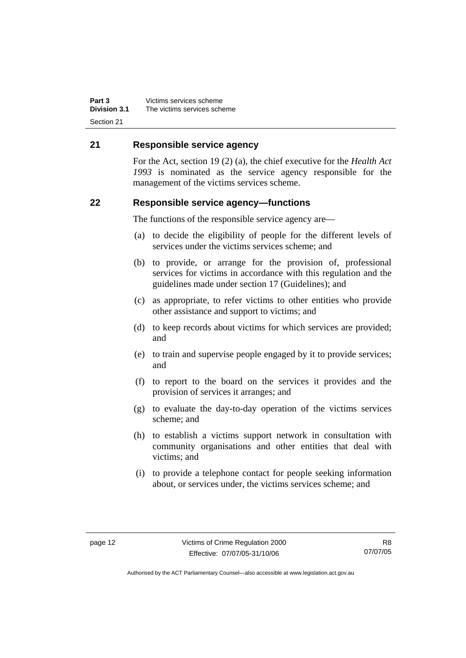**Part 3** Victims services scheme<br>**Division 3.1** The victims services sche **Division 3.1** The victims services scheme Section 21

#### **21 Responsible service agency**

For the Act, section 19 (2) (a), the chief executive for the *Health Act 1993* is nominated as the service agency responsible for the management of the victims services scheme.

#### **22 Responsible service agency—functions**

The functions of the responsible service agency are—

- (a) to decide the eligibility of people for the different levels of services under the victims services scheme; and
- (b) to provide, or arrange for the provision of, professional services for victims in accordance with this regulation and the guidelines made under section 17 (Guidelines); and
- (c) as appropriate, to refer victims to other entities who provide other assistance and support to victims; and
- (d) to keep records about victims for which services are provided; and
- (e) to train and supervise people engaged by it to provide services; and
- (f) to report to the board on the services it provides and the provision of services it arranges; and
- (g) to evaluate the day-to-day operation of the victims services scheme; and
- (h) to establish a victims support network in consultation with community organisations and other entities that deal with victims; and
- (i) to provide a telephone contact for people seeking information about, or services under, the victims services scheme; and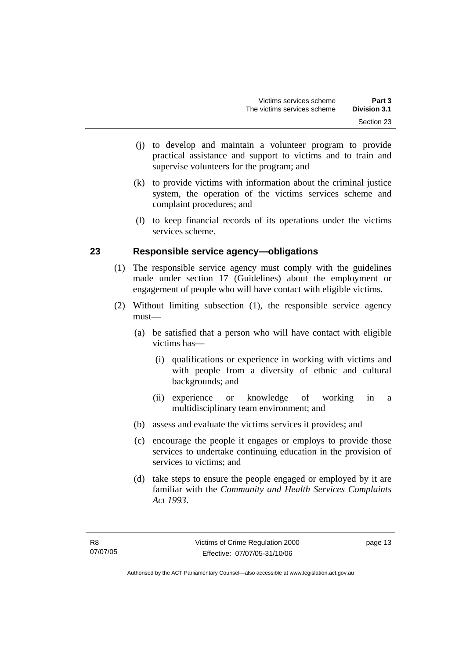- (j) to develop and maintain a volunteer program to provide practical assistance and support to victims and to train and supervise volunteers for the program; and
- (k) to provide victims with information about the criminal justice system, the operation of the victims services scheme and complaint procedures; and
- (l) to keep financial records of its operations under the victims services scheme.

#### **23 Responsible service agency—obligations**

- (1) The responsible service agency must comply with the guidelines made under section 17 (Guidelines) about the employment or engagement of people who will have contact with eligible victims.
- (2) Without limiting subsection (1), the responsible service agency must—
	- (a) be satisfied that a person who will have contact with eligible victims has—
		- (i) qualifications or experience in working with victims and with people from a diversity of ethnic and cultural backgrounds; and
		- (ii) experience or knowledge of working in a multidisciplinary team environment; and
	- (b) assess and evaluate the victims services it provides; and
	- (c) encourage the people it engages or employs to provide those services to undertake continuing education in the provision of services to victims; and
	- (d) take steps to ensure the people engaged or employed by it are familiar with the *Community and Health Services Complaints Act 1993*.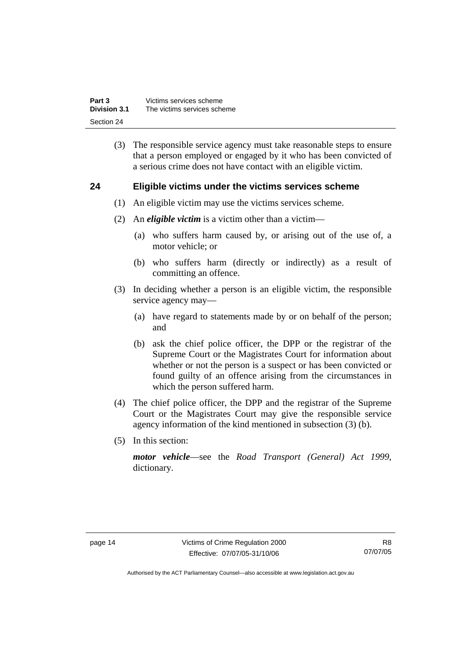| Part 3              | Victims services scheme     |
|---------------------|-----------------------------|
| <b>Division 3.1</b> | The victims services scheme |
| Section 24          |                             |

 (3) The responsible service agency must take reasonable steps to ensure that a person employed or engaged by it who has been convicted of a serious crime does not have contact with an eligible victim.

#### **24 Eligible victims under the victims services scheme**

- (1) An eligible victim may use the victims services scheme.
- (2) An *eligible victim* is a victim other than a victim—
	- (a) who suffers harm caused by, or arising out of the use of, a motor vehicle; or
	- (b) who suffers harm (directly or indirectly) as a result of committing an offence.
- (3) In deciding whether a person is an eligible victim, the responsible service agency may—
	- (a) have regard to statements made by or on behalf of the person; and
	- (b) ask the chief police officer, the DPP or the registrar of the Supreme Court or the Magistrates Court for information about whether or not the person is a suspect or has been convicted or found guilty of an offence arising from the circumstances in which the person suffered harm.
- (4) The chief police officer, the DPP and the registrar of the Supreme Court or the Magistrates Court may give the responsible service agency information of the kind mentioned in subsection (3) (b).
- (5) In this section:

*motor vehicle*—see the *Road Transport (General) Act 1999*, dictionary.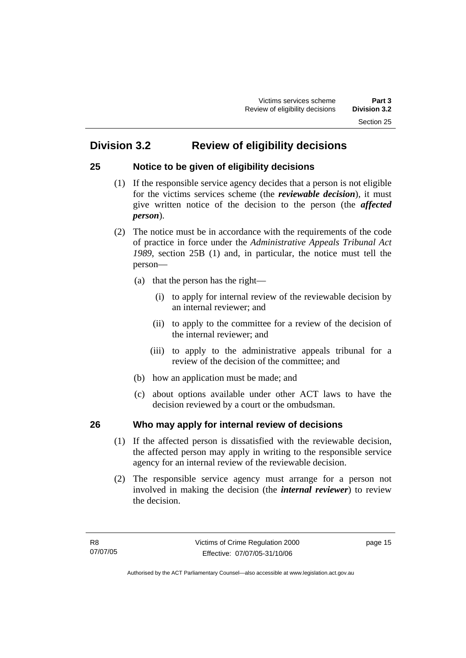### **Division 3.2 Review of eligibility decisions**

#### **25 Notice to be given of eligibility decisions**

- (1) If the responsible service agency decides that a person is not eligible for the victims services scheme (the *reviewable decision*), it must give written notice of the decision to the person (the *affected person*).
- (2) The notice must be in accordance with the requirements of the code of practice in force under the *Administrative Appeals Tribunal Act 1989*, section 25B (1) and, in particular, the notice must tell the person—
	- (a) that the person has the right—
		- (i) to apply for internal review of the reviewable decision by an internal reviewer; and
		- (ii) to apply to the committee for a review of the decision of the internal reviewer; and
		- (iii) to apply to the administrative appeals tribunal for a review of the decision of the committee; and
	- (b) how an application must be made; and
	- (c) about options available under other ACT laws to have the decision reviewed by a court or the ombudsman.

#### **26 Who may apply for internal review of decisions**

- (1) If the affected person is dissatisfied with the reviewable decision, the affected person may apply in writing to the responsible service agency for an internal review of the reviewable decision.
- (2) The responsible service agency must arrange for a person not involved in making the decision (the *internal reviewer*) to review the decision.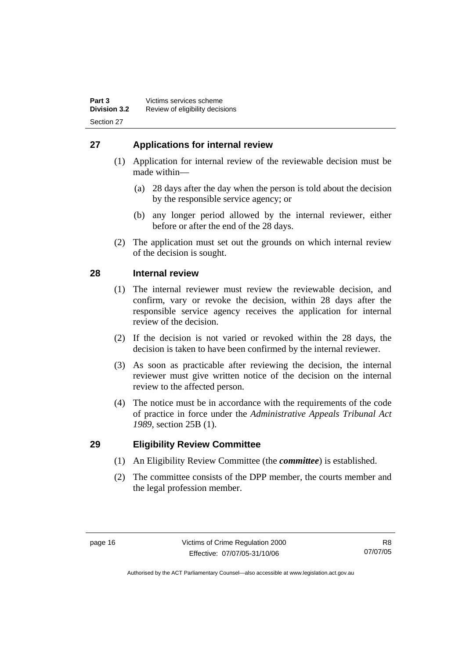#### **27 Applications for internal review**

- (1) Application for internal review of the reviewable decision must be made within—
	- (a) 28 days after the day when the person is told about the decision by the responsible service agency; or
	- (b) any longer period allowed by the internal reviewer, either before or after the end of the 28 days.
- (2) The application must set out the grounds on which internal review of the decision is sought.

#### **28 Internal review**

- (1) The internal reviewer must review the reviewable decision, and confirm, vary or revoke the decision, within 28 days after the responsible service agency receives the application for internal review of the decision.
- (2) If the decision is not varied or revoked within the 28 days, the decision is taken to have been confirmed by the internal reviewer.
- (3) As soon as practicable after reviewing the decision, the internal reviewer must give written notice of the decision on the internal review to the affected person.
- (4) The notice must be in accordance with the requirements of the code of practice in force under the *Administrative Appeals Tribunal Act 1989*, section 25B (1).

#### **29 Eligibility Review Committee**

- (1) An Eligibility Review Committee (the *committee*) is established.
- (2) The committee consists of the DPP member, the courts member and the legal profession member.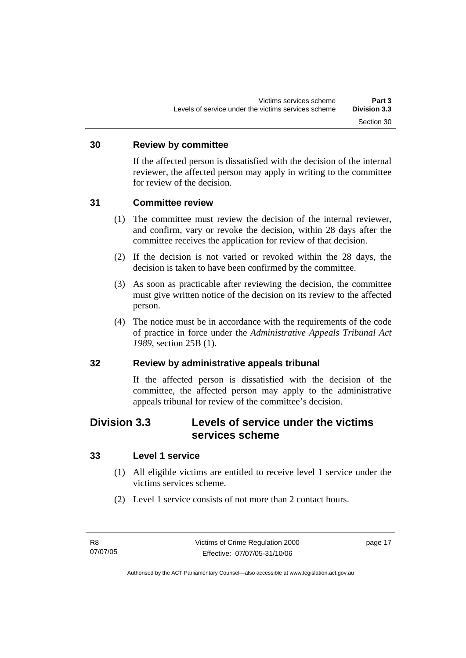#### **30 Review by committee**

If the affected person is dissatisfied with the decision of the internal reviewer, the affected person may apply in writing to the committee for review of the decision.

#### **31 Committee review**

- (1) The committee must review the decision of the internal reviewer, and confirm, vary or revoke the decision, within 28 days after the committee receives the application for review of that decision.
- (2) If the decision is not varied or revoked within the 28 days, the decision is taken to have been confirmed by the committee.
- (3) As soon as practicable after reviewing the decision, the committee must give written notice of the decision on its review to the affected person.
- (4) The notice must be in accordance with the requirements of the code of practice in force under the *Administrative Appeals Tribunal Act 1989*, section 25B (1).

#### **32 Review by administrative appeals tribunal**

If the affected person is dissatisfied with the decision of the committee, the affected person may apply to the administrative appeals tribunal for review of the committee's decision.

### **Division 3.3 Levels of service under the victims services scheme**

#### **33 Level 1 service**

- (1) All eligible victims are entitled to receive level 1 service under the victims services scheme.
- (2) Level 1 service consists of not more than 2 contact hours.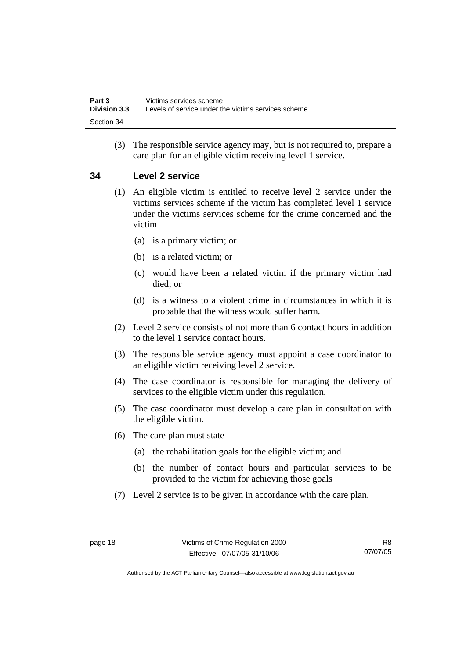(3) The responsible service agency may, but is not required to, prepare a care plan for an eligible victim receiving level 1 service.

#### **34 Level 2 service**

- (1) An eligible victim is entitled to receive level 2 service under the victims services scheme if the victim has completed level 1 service under the victims services scheme for the crime concerned and the victim—
	- (a) is a primary victim; or
	- (b) is a related victim; or
	- (c) would have been a related victim if the primary victim had died; or
	- (d) is a witness to a violent crime in circumstances in which it is probable that the witness would suffer harm.
- (2) Level 2 service consists of not more than 6 contact hours in addition to the level 1 service contact hours.
- (3) The responsible service agency must appoint a case coordinator to an eligible victim receiving level 2 service.
- (4) The case coordinator is responsible for managing the delivery of services to the eligible victim under this regulation.
- (5) The case coordinator must develop a care plan in consultation with the eligible victim.
- (6) The care plan must state—
	- (a) the rehabilitation goals for the eligible victim; and
	- (b) the number of contact hours and particular services to be provided to the victim for achieving those goals
- (7) Level 2 service is to be given in accordance with the care plan.

R8 07/07/05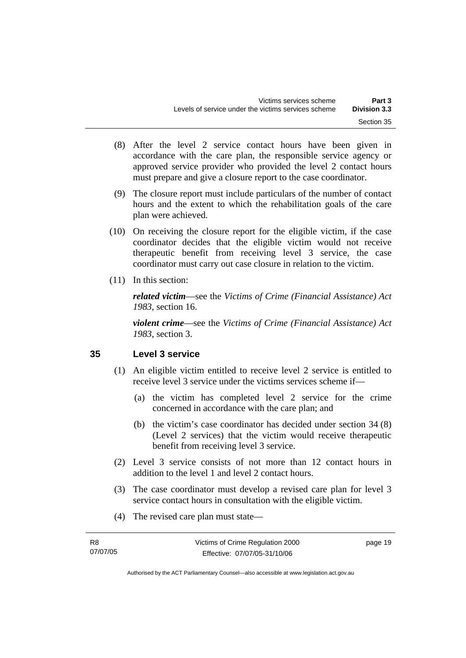- (8) After the level 2 service contact hours have been given in accordance with the care plan, the responsible service agency or approved service provider who provided the level 2 contact hours must prepare and give a closure report to the case coordinator.
- (9) The closure report must include particulars of the number of contact hours and the extent to which the rehabilitation goals of the care plan were achieved.
- (10) On receiving the closure report for the eligible victim, if the case coordinator decides that the eligible victim would not receive therapeutic benefit from receiving level 3 service, the case coordinator must carry out case closure in relation to the victim.
- (11) In this section:

*related victim*—see the *Victims of Crime (Financial Assistance) Act 1983*, section 16.

*violent crime*—see the *Victims of Crime (Financial Assistance) Act 1983*, section 3.

#### **35 Level 3 service**

- (1) An eligible victim entitled to receive level 2 service is entitled to receive level 3 service under the victims services scheme if—
	- (a) the victim has completed level 2 service for the crime concerned in accordance with the care plan; and
	- (b) the victim's case coordinator has decided under section 34 (8) (Level 2 services) that the victim would receive therapeutic benefit from receiving level 3 service.
- (2) Level 3 service consists of not more than 12 contact hours in addition to the level 1 and level 2 contact hours.
- (3) The case coordinator must develop a revised care plan for level 3 service contact hours in consultation with the eligible victim.
- (4) The revised care plan must state—

| <b>R8</b> | Victims of Crime Regulation 2000 | page 19 |
|-----------|----------------------------------|---------|
| 07/07/05  | Effective: 07/07/05-31/10/06     |         |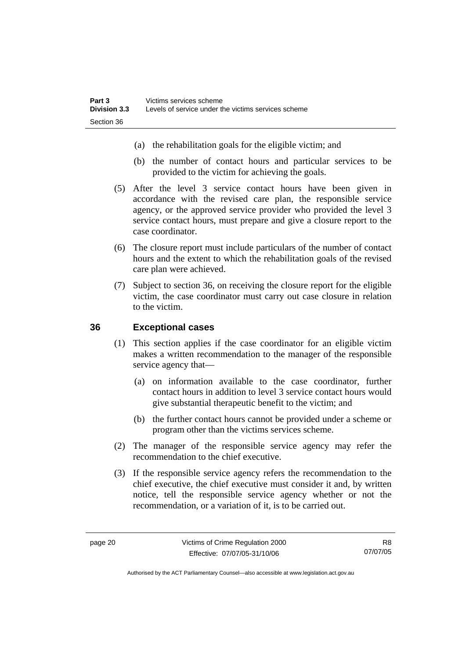- (a) the rehabilitation goals for the eligible victim; and
- (b) the number of contact hours and particular services to be provided to the victim for achieving the goals.
- (5) After the level 3 service contact hours have been given in accordance with the revised care plan, the responsible service agency, or the approved service provider who provided the level 3 service contact hours, must prepare and give a closure report to the case coordinator.
- (6) The closure report must include particulars of the number of contact hours and the extent to which the rehabilitation goals of the revised care plan were achieved.
- (7) Subject to section 36, on receiving the closure report for the eligible victim, the case coordinator must carry out case closure in relation to the victim.

#### **36 Exceptional cases**

- (1) This section applies if the case coordinator for an eligible victim makes a written recommendation to the manager of the responsible service agency that—
	- (a) on information available to the case coordinator, further contact hours in addition to level 3 service contact hours would give substantial therapeutic benefit to the victim; and
	- (b) the further contact hours cannot be provided under a scheme or program other than the victims services scheme.
- (2) The manager of the responsible service agency may refer the recommendation to the chief executive.
- (3) If the responsible service agency refers the recommendation to the chief executive, the chief executive must consider it and, by written notice, tell the responsible service agency whether or not the recommendation, or a variation of it, is to be carried out.

R8 07/07/05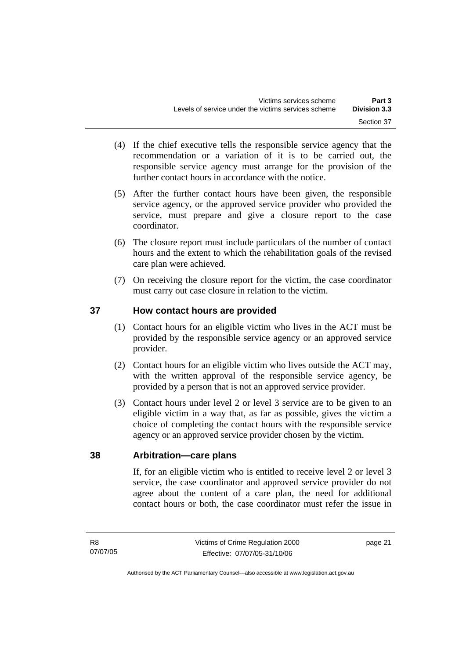- (4) If the chief executive tells the responsible service agency that the recommendation or a variation of it is to be carried out, the responsible service agency must arrange for the provision of the further contact hours in accordance with the notice.
- (5) After the further contact hours have been given, the responsible service agency, or the approved service provider who provided the service, must prepare and give a closure report to the case coordinator.
- (6) The closure report must include particulars of the number of contact hours and the extent to which the rehabilitation goals of the revised care plan were achieved.
- (7) On receiving the closure report for the victim, the case coordinator must carry out case closure in relation to the victim.

#### **37 How contact hours are provided**

- (1) Contact hours for an eligible victim who lives in the ACT must be provided by the responsible service agency or an approved service provider.
- (2) Contact hours for an eligible victim who lives outside the ACT may, with the written approval of the responsible service agency, be provided by a person that is not an approved service provider.
- (3) Contact hours under level 2 or level 3 service are to be given to an eligible victim in a way that, as far as possible, gives the victim a choice of completing the contact hours with the responsible service agency or an approved service provider chosen by the victim.

#### **38 Arbitration—care plans**

If, for an eligible victim who is entitled to receive level 2 or level 3 service, the case coordinator and approved service provider do not agree about the content of a care plan, the need for additional contact hours or both, the case coordinator must refer the issue in

page 21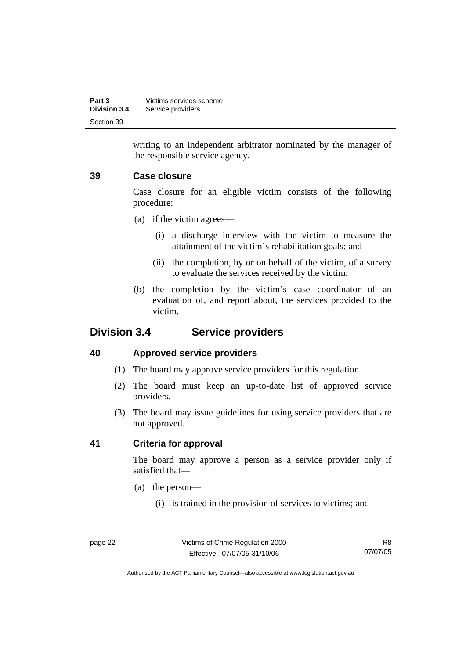| Part 3              | Victims services scheme |
|---------------------|-------------------------|
| <b>Division 3.4</b> | Service providers       |
| Section 39          |                         |

writing to an independent arbitrator nominated by the manager of the responsible service agency.

#### **39 Case closure**

Case closure for an eligible victim consists of the following procedure:

- (a) if the victim agrees—
	- (i) a discharge interview with the victim to measure the attainment of the victim's rehabilitation goals; and
	- (ii) the completion, by or on behalf of the victim, of a survey to evaluate the services received by the victim;
- (b) the completion by the victim's case coordinator of an evaluation of, and report about, the services provided to the victim.

#### **Division 3.4 Service providers**

#### **40 Approved service providers**

- (1) The board may approve service providers for this regulation.
- (2) The board must keep an up-to-date list of approved service providers.
- (3) The board may issue guidelines for using service providers that are not approved.

#### **41 Criteria for approval**

The board may approve a person as a service provider only if satisfied that—

- (a) the person—
	- (i) is trained in the provision of services to victims; and

R8 07/07/05

Authorised by the ACT Parliamentary Counsel—also accessible at www.legislation.act.gov.au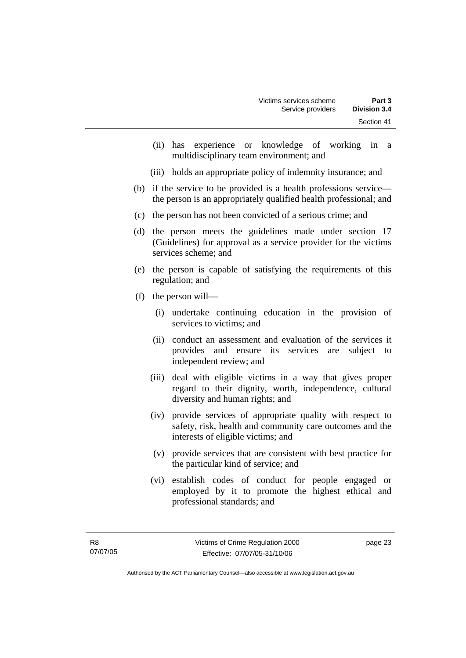- (ii) has experience or knowledge of working in a multidisciplinary team environment; and
- (iii) holds an appropriate policy of indemnity insurance; and
- (b) if the service to be provided is a health professions service the person is an appropriately qualified health professional; and
- (c) the person has not been convicted of a serious crime; and
- (d) the person meets the guidelines made under section 17 (Guidelines) for approval as a service provider for the victims services scheme; and
- (e) the person is capable of satisfying the requirements of this regulation; and
- (f) the person will—
	- (i) undertake continuing education in the provision of services to victims; and
	- (ii) conduct an assessment and evaluation of the services it provides and ensure its services are subject to independent review; and
	- (iii) deal with eligible victims in a way that gives proper regard to their dignity, worth, independence, cultural diversity and human rights; and
	- (iv) provide services of appropriate quality with respect to safety, risk, health and community care outcomes and the interests of eligible victims; and
	- (v) provide services that are consistent with best practice for the particular kind of service; and
	- (vi) establish codes of conduct for people engaged or employed by it to promote the highest ethical and professional standards; and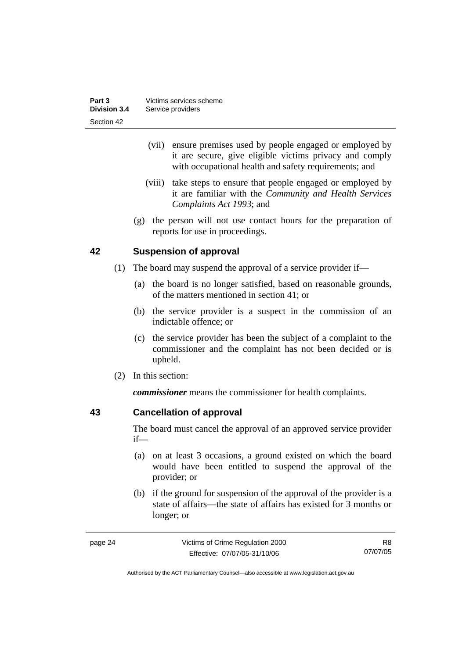| Part 3       | Victims services scheme |
|--------------|-------------------------|
| Division 3.4 | Service providers       |
| Section 42   |                         |

- (vii) ensure premises used by people engaged or employed by it are secure, give eligible victims privacy and comply with occupational health and safety requirements; and
- (viii) take steps to ensure that people engaged or employed by it are familiar with the *Community and Health Services Complaints Act 1993*; and
- (g) the person will not use contact hours for the preparation of reports for use in proceedings.

#### **42 Suspension of approval**

- (1) The board may suspend the approval of a service provider if—
	- (a) the board is no longer satisfied, based on reasonable grounds, of the matters mentioned in section 41; or
	- (b) the service provider is a suspect in the commission of an indictable offence; or
	- (c) the service provider has been the subject of a complaint to the commissioner and the complaint has not been decided or is upheld.
- (2) In this section:

*commissioner* means the commissioner for health complaints.

#### **43 Cancellation of approval**

The board must cancel the approval of an approved service provider if—

- (a) on at least 3 occasions, a ground existed on which the board would have been entitled to suspend the approval of the provider; or
- (b) if the ground for suspension of the approval of the provider is a state of affairs—the state of affairs has existed for 3 months or longer; or

R8 07/07/05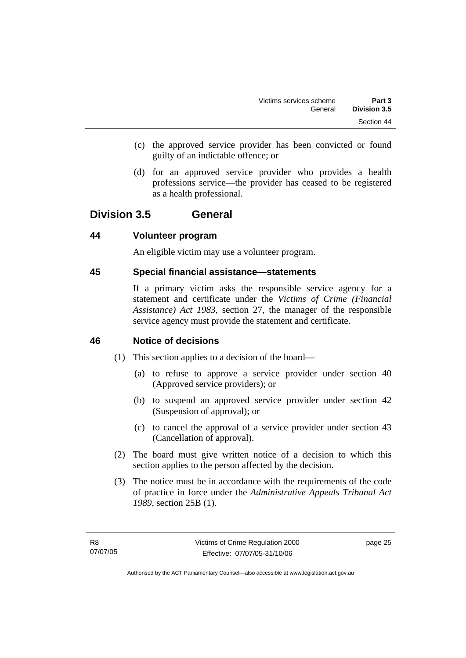- (c) the approved service provider has been convicted or found guilty of an indictable offence; or
- (d) for an approved service provider who provides a health professions service—the provider has ceased to be registered as a health professional.

#### **Division 3.5 General**

#### **44 Volunteer program**

An eligible victim may use a volunteer program.

#### **45 Special financial assistance—statements**

If a primary victim asks the responsible service agency for a statement and certificate under the *Victims of Crime (Financial Assistance) Act 1983*, section 27, the manager of the responsible service agency must provide the statement and certificate.

#### **46 Notice of decisions**

- (1) This section applies to a decision of the board—
	- (a) to refuse to approve a service provider under section 40 (Approved service providers); or
	- (b) to suspend an approved service provider under section 42 (Suspension of approval); or
	- (c) to cancel the approval of a service provider under section 43 (Cancellation of approval).
- (2) The board must give written notice of a decision to which this section applies to the person affected by the decision.
- (3) The notice must be in accordance with the requirements of the code of practice in force under the *Administrative Appeals Tribunal Act 1989*, section 25B (1).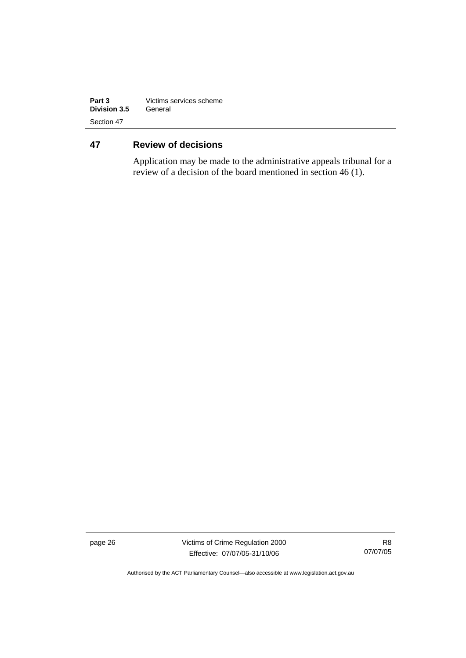| Part 3       | Victims services scheme |
|--------------|-------------------------|
| Division 3.5 | General                 |
| Section 47   |                         |

#### **47 Review of decisions**

Application may be made to the administrative appeals tribunal for a review of a decision of the board mentioned in section 46 (1).

page 26 Victims of Crime Regulation 2000 Effective: 07/07/05-31/10/06

R8 07/07/05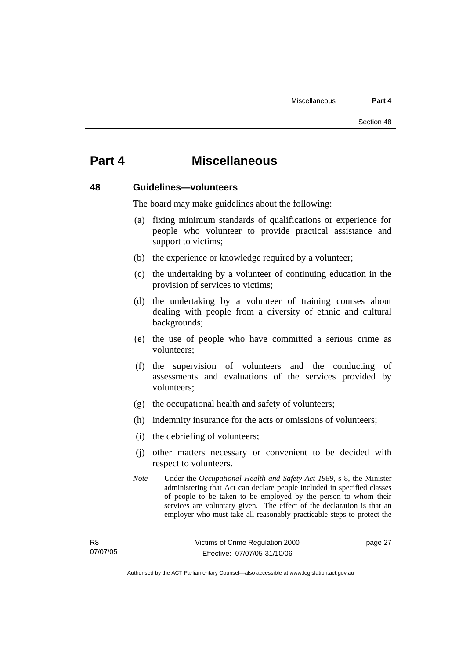### **Part 4 Miscellaneous**

#### **48 Guidelines—volunteers**

The board may make guidelines about the following:

- (a) fixing minimum standards of qualifications or experience for people who volunteer to provide practical assistance and support to victims;
- (b) the experience or knowledge required by a volunteer;
- (c) the undertaking by a volunteer of continuing education in the provision of services to victims;
- (d) the undertaking by a volunteer of training courses about dealing with people from a diversity of ethnic and cultural backgrounds;
- (e) the use of people who have committed a serious crime as volunteers;
- (f) the supervision of volunteers and the conducting of assessments and evaluations of the services provided by volunteers;
- (g) the occupational health and safety of volunteers;
- (h) indemnity insurance for the acts or omissions of volunteers;
- (i) the debriefing of volunteers;
- (j) other matters necessary or convenient to be decided with respect to volunteers.
- *Note* Under the *Occupational Health and Safety Act 1989*, s 8, the Minister administering that Act can declare people included in specified classes of people to be taken to be employed by the person to whom their services are voluntary given. The effect of the declaration is that an employer who must take all reasonably practicable steps to protect the

page 27

Authorised by the ACT Parliamentary Counsel—also accessible at www.legislation.act.gov.au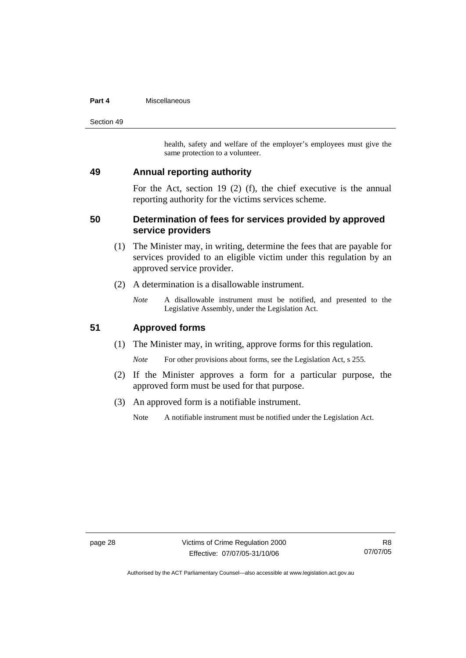#### **Part 4** Miscellaneous

Section 49

health, safety and welfare of the employer's employees must give the same protection to a volunteer.

#### **49 Annual reporting authority**

For the Act, section 19 (2) (f), the chief executive is the annual reporting authority for the victims services scheme.

#### **50 Determination of fees for services provided by approved service providers**

- (1) The Minister may, in writing, determine the fees that are payable for services provided to an eligible victim under this regulation by an approved service provider.
- (2) A determination is a disallowable instrument.
	- *Note* A disallowable instrument must be notified, and presented to the Legislative Assembly, under the Legislation Act.

#### **51 Approved forms**

(1) The Minister may, in writing, approve forms for this regulation.

*Note* For other provisions about forms, see the Legislation Act, s 255.

- (2) If the Minister approves a form for a particular purpose, the approved form must be used for that purpose.
- (3) An approved form is a notifiable instrument.

Note A notifiable instrument must be notified under the Legislation Act.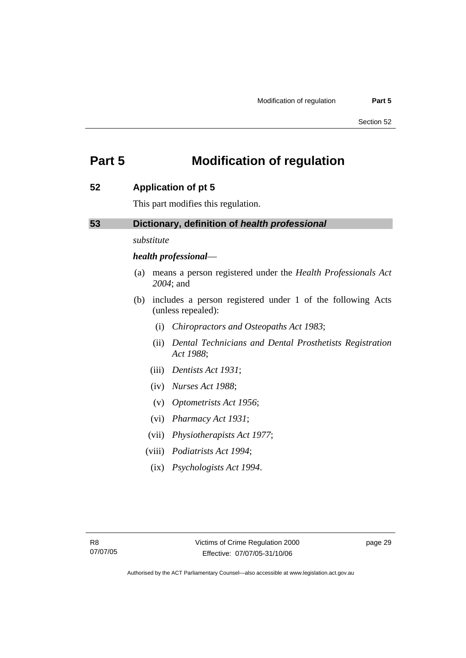### **Part 5 Modification of regulation**

#### **52 Application of pt 5**

This part modifies this regulation.

#### **53 Dictionary, definition of** *health professional*

*substitute* 

#### *health professional*—

- (a) means a person registered under the *Health Professionals Act 2004*; and
- (b) includes a person registered under 1 of the following Acts (unless repealed):
	- (i) *Chiropractors and Osteopaths Act 1983*;
	- (ii) *Dental Technicians and Dental Prosthetists Registration Act 1988*;
	- (iii) *Dentists Act 1931*;
	- (iv) *Nurses Act 1988*;
	- (v) *Optometrists Act 1956*;
	- (vi) *Pharmacy Act 1931*;
	- (vii) *Physiotherapists Act 1977*;
	- (viii) *Podiatrists Act 1994*;
	- (ix) *Psychologists Act 1994*.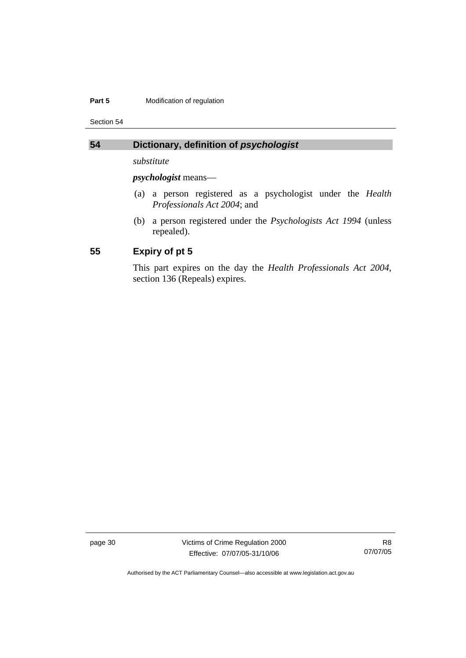#### **Part 5 Modification of regulation**

Section 54

#### **54 Dictionary, definition of** *psychologist*

*substitute* 

*psychologist* means—

- (a) a person registered as a psychologist under the *Health Professionals Act 2004*; and
- (b) a person registered under the *Psychologists Act 1994* (unless repealed).

#### **55 Expiry of pt 5**

This part expires on the day the *Health Professionals Act 2004*, section 136 (Repeals) expires.

page 30 Victims of Crime Regulation 2000 Effective: 07/07/05-31/10/06

R8 07/07/05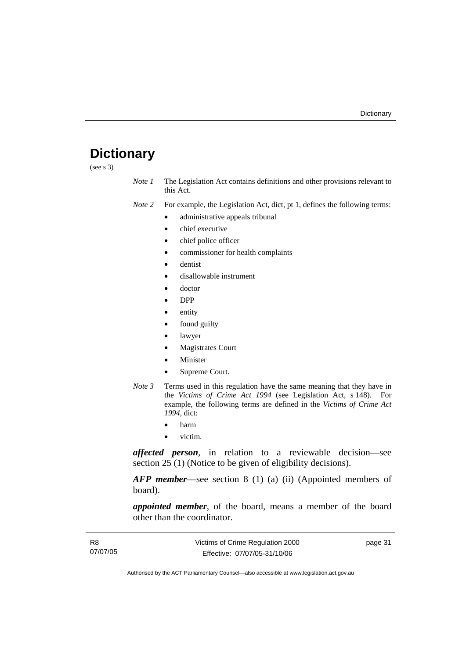## **Dictionary**

(see s 3)

*Note 1* The Legislation Act contains definitions and other provisions relevant to this Act.

*Note 2* For example, the Legislation Act, dict, pt 1, defines the following terms:

- administrative appeals tribunal
- chief executive
- chief police officer
- commissioner for health complaints
- dentist
- disallowable instrument
- doctor
- DPP
- entity
- found guilty
- lawyer
- **Magistrates Court**
- **Minister**
- Supreme Court.
- *Note 3* Terms used in this regulation have the same meaning that they have in the *Victims of Crime Act 1994* (see Legislation Act, s 148). For example, the following terms are defined in the *Victims of Crime Act 1994*, dict:
	- harm
	- victim.

*affected person*, in relation to a reviewable decision—see section 25 (1) (Notice to be given of eligibility decisions).

*AFP member*—see section 8 (1) (a) (ii) (Appointed members of board).

*appointed member*, of the board, means a member of the board other than the coordinator.

| -R8      | Victims of Crime Regulation 2000 | page 31 |
|----------|----------------------------------|---------|
| 07/07/05 | Effective: 07/07/05-31/10/06     |         |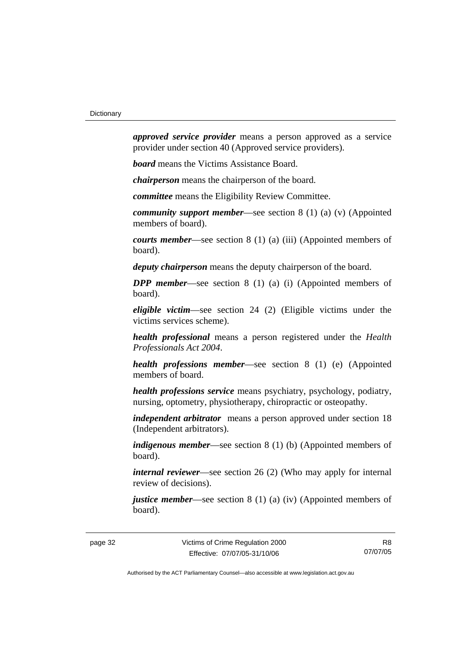*approved service provider* means a person approved as a service provider under section 40 (Approved service providers).

*board* means the Victims Assistance Board.

*chairperson* means the chairperson of the board.

*committee* means the Eligibility Review Committee.

*community support member*—see section 8 (1) (a) (v) (Appointed members of board).

*courts member*—see section 8 (1) (a) (iii) (Appointed members of board).

*deputy chairperson* means the deputy chairperson of the board.

*DPP member*—see section 8 (1) (a) (i) (Appointed members of board).

*eligible victim*—see section 24 (2) (Eligible victims under the victims services scheme).

*health professional* means a person registered under the *Health Professionals Act 2004*.

*health professions member*—see section 8 (1) (e) (Appointed members of board.

*health professions service* means psychiatry, psychology, podiatry, nursing, optometry, physiotherapy, chiropractic or osteopathy.

*independent arbitrator* means a person approved under section 18 (Independent arbitrators).

*indigenous member*—see section 8 (1) (b) (Appointed members of board).

*internal reviewer*—see section 26 (2) (Who may apply for internal review of decisions).

*justice member*—see section 8 (1) (a) (iv) (Appointed members of board).

R8 07/07/05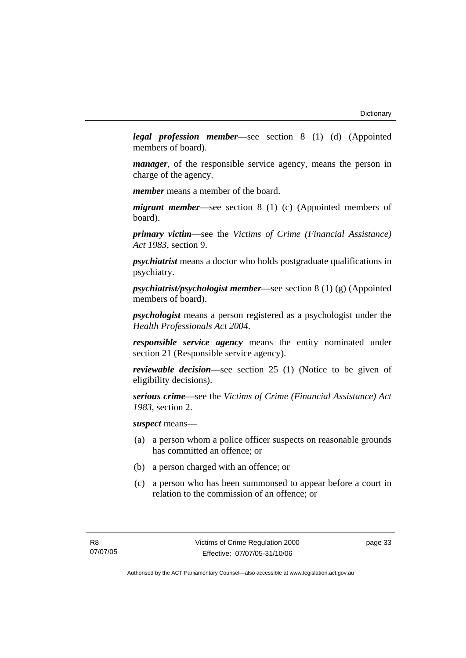*legal profession member*—see section 8 (1) (d) (Appointed members of board).

*manager*, of the responsible service agency, means the person in charge of the agency.

*member* means a member of the board.

*migrant member*—see section 8 (1) (c) (Appointed members of board).

*primary victim*—see the *Victims of Crime (Financial Assistance) Act 1983*, section 9.

*psychiatrist* means a doctor who holds postgraduate qualifications in psychiatry.

*psychiatrist/psychologist member*—see section 8 (1) (g) (Appointed members of board).

*psychologist* means a person registered as a psychologist under the *Health Professionals Act 2004*.

*responsible service agency* means the entity nominated under section 21 (Responsible service agency).

*reviewable decision*—see section 25 (1) (Notice to be given of eligibility decisions).

*serious crime*—see the *Victims of Crime (Financial Assistance) Act 1983*, section 2.

*suspect* means—

- (a) a person whom a police officer suspects on reasonable grounds has committed an offence; or
- (b) a person charged with an offence; or
- (c) a person who has been summonsed to appear before a court in relation to the commission of an offence; or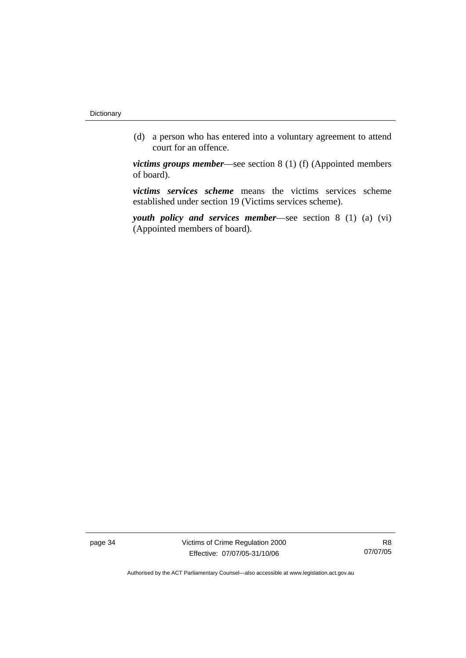(d) a person who has entered into a voluntary agreement to attend court for an offence.

*victims groups member*—see section 8 (1) (f) (Appointed members of board).

*victims services scheme* means the victims services scheme established under section 19 (Victims services scheme).

*youth policy and services member*—see section 8 (1) (a) (vi) (Appointed members of board).

page 34 Victims of Crime Regulation 2000 Effective: 07/07/05-31/10/06

R8 07/07/05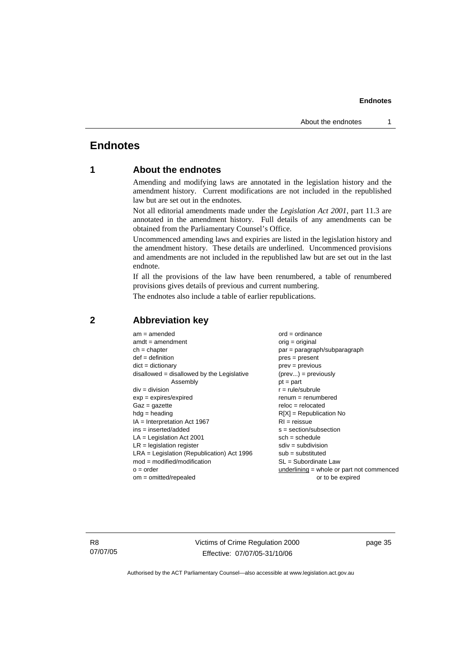#### **Endnotes**

#### **1 About the endnotes**

Amending and modifying laws are annotated in the legislation history and the amendment history. Current modifications are not included in the republished law but are set out in the endnotes.

Not all editorial amendments made under the *Legislation Act 2001*, part 11.3 are annotated in the amendment history. Full details of any amendments can be obtained from the Parliamentary Counsel's Office.

Uncommenced amending laws and expiries are listed in the legislation history and the amendment history. These details are underlined. Uncommenced provisions and amendments are not included in the republished law but are set out in the last endnote.

If all the provisions of the law have been renumbered, a table of renumbered provisions gives details of previous and current numbering.

The endnotes also include a table of earlier republications.

| $am = amended$                               | $ord = ordinance$                         |
|----------------------------------------------|-------------------------------------------|
| $amdt = amendment$                           | $orig = original$                         |
| $ch = chapter$                               | $par = paragraph/subparagraph$            |
| $def = definition$                           | $pres = present$                          |
| $dict = dictionary$                          | $prev = previous$                         |
| $disallowed = disallowed by the Legislative$ | $(\text{prev}) = \text{previously}$       |
| Assembly                                     | $pt = part$                               |
| $div = division$                             | $r = rule/subrule$                        |
| $exp = expires/expired$                      | $remum = renumbered$                      |
| $Gaz = gazette$                              | $reloc = relocated$                       |
| $hdg =$ heading                              | $R[X]$ = Republication No                 |
| $IA = Interpretation Act 1967$               | $RI = reissue$                            |
| $ins = inserted/added$                       | $s = section/subsection$                  |
| $LA =$ Legislation Act 2001                  | $sch = schedule$                          |
| $LR =$ legislation register                  | $sdiv = subdivision$                      |
| $LRA =$ Legislation (Republication) Act 1996 | $sub =$ substituted                       |
| $mod = modified/modification$                | $SL = Subordinate$ Law                    |
| $o = order$                                  | underlining = whole or part not commenced |
| $om = omitted/repealed$                      | or to be expired                          |
|                                              |                                           |

#### **2 Abbreviation key**

R8 07/07/05 Victims of Crime Regulation 2000 Effective: 07/07/05-31/10/06

page 35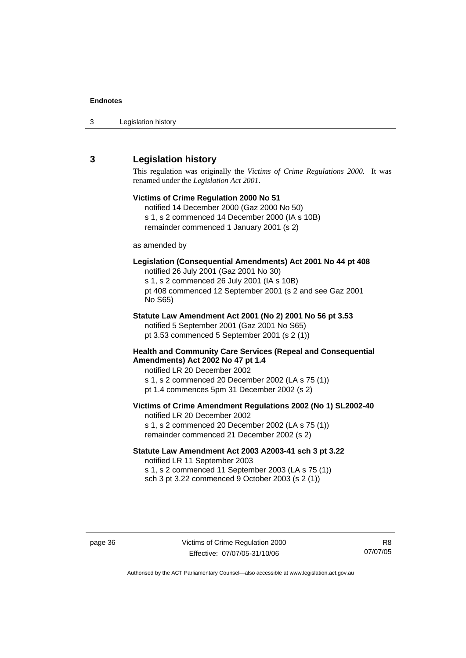| 3 | Legislation history |  |
|---|---------------------|--|
|---|---------------------|--|

#### **3 Legislation history**

This regulation was originally the *Victims of Crime Regulations 2000*. It was renamed under the *Legislation Act 2001*.

#### **Victims of Crime Regulation 2000 No 51**  notified 14 December 2000 (Gaz 2000 No 50) s 1, s 2 commenced 14 December 2000 (IA s 10B) remainder commenced 1 January 2001 (s 2) as amended by **Legislation (Consequential Amendments) Act 2001 No 44 pt 408**  notified 26 July 2001 (Gaz 2001 No 30) s 1, s 2 commenced 26 July 2001 (IA s 10B) pt 408 commenced 12 September 2001 (s 2 and see Gaz 2001 No S65) **Statute Law Amendment Act 2001 (No 2) 2001 No 56 pt 3.53**  notified 5 September 2001 (Gaz 2001 No S65) pt 3.53 commenced 5 September 2001 (s 2 (1)) **Health and Community Care Services (Repeal and Consequential Amendments) Act 2002 No 47 pt 1.4**  notified LR 20 December 2002 s 1, s 2 commenced 20 December 2002 (LA s 75 (1)) pt 1.4 commences 5pm 31 December 2002 (s 2) **Victims of Crime Amendment Regulations 2002 (No 1) SL2002-40**  notified LR 20 December 2002 s 1, s 2 commenced 20 December 2002 (LA s 75 (1)) remainder commenced 21 December 2002 (s 2) **Statute Law Amendment Act 2003 A2003-41 sch 3 pt 3.22**  notified LR 11 September 2003

s 1, s 2 commenced 11 September 2003 (LA s 75 (1)) sch 3 pt 3.22 commenced 9 October 2003 (s 2 (1))

R8 07/07/05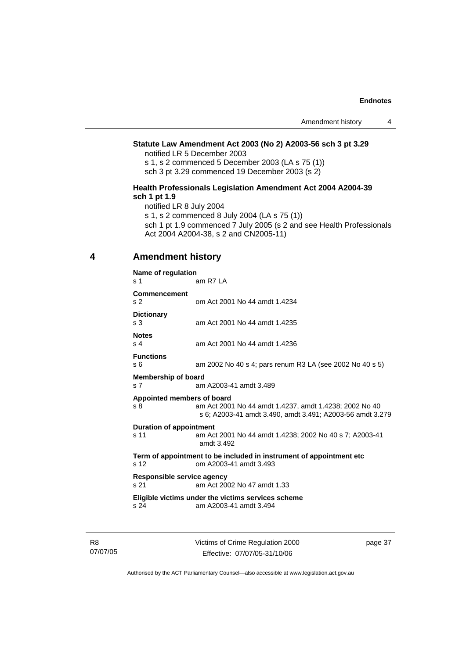#### **Statute Law Amendment Act 2003 (No 2) A2003-56 sch 3 pt 3.29**

notified LR 5 December 2003 s 1, s 2 commenced 5 December 2003 (LA s 75 (1)) sch 3 pt 3.29 commenced 19 December 2003 (s 2)

**Health Professionals Legislation Amendment Act 2004 A2004-39 sch 1 pt 1.9** 

notified LR 8 July 2004

s 1, s 2 commenced 8 July 2004 (LA s 75 (1))

sch 1 pt 1.9 commenced 7 July 2005 (s 2 and see Health Professionals Act 2004 A2004-38, s 2 and CN2005-11)

#### **4 Amendment history**

| Name of regulation<br>s 1                    | am R7 LA                                                                                                            |  |
|----------------------------------------------|---------------------------------------------------------------------------------------------------------------------|--|
| <b>Commencement</b><br>s <sub>2</sub>        | om Act 2001 No 44 amdt 1.4234                                                                                       |  |
| <b>Dictionary</b><br>s <sub>3</sub>          | am Act 2001 No 44 amdt 1.4235                                                                                       |  |
| <b>Notes</b><br>s <sub>4</sub>               | am Act 2001 No 44 amdt 1.4236                                                                                       |  |
| <b>Functions</b><br>s 6                      | am 2002 No 40 s 4; pars renum R3 LA (see 2002 No 40 s 5)                                                            |  |
| <b>Membership of board</b><br>s <sub>7</sub> | am A2003-41 amdt 3.489                                                                                              |  |
| Appointed members of board<br>s 8            | am Act 2001 No 44 amdt 1.4237, amdt 1.4238; 2002 No 40<br>s 6; A2003-41 amdt 3.490, amdt 3.491; A2003-56 amdt 3.279 |  |
| <b>Duration of appointment</b><br>s 11       | am Act 2001 No 44 amdt 1.4238; 2002 No 40 s 7; A2003-41<br>amdt 3.492                                               |  |
| s 12                                         | Term of appointment to be included in instrument of appointment etc.<br>om A2003-41 amdt 3.493                      |  |
| Responsible service agency<br>s 21           | am Act 2002 No 47 amdt 1.33                                                                                         |  |
| s 24                                         | Eligible victims under the victims services scheme<br>am A2003-41 amdt 3.494                                        |  |
|                                              |                                                                                                                     |  |

R8 07/07/05 Victims of Crime Regulation 2000 Effective: 07/07/05-31/10/06

page 37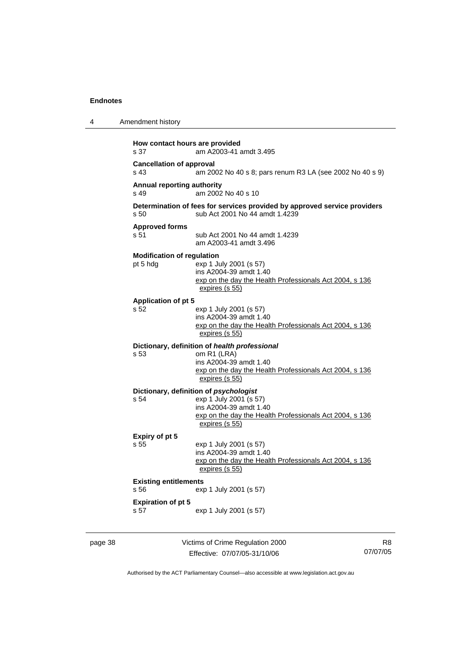| 4 | Amendment history                                                |                                                                                                                                                                         |
|---|------------------------------------------------------------------|-------------------------------------------------------------------------------------------------------------------------------------------------------------------------|
|   | How contact hours are provided<br>s 37<br>am A2003-41 amdt 3.495 |                                                                                                                                                                         |
|   | <b>Cancellation of approval</b><br>s 43                          | am 2002 No 40 s 8; pars renum R3 LA (see 2002 No 40 s 9)                                                                                                                |
|   | Annual reporting authority<br>s 49                               | am 2002 No 40 s 10                                                                                                                                                      |
|   | s 50                                                             | Determination of fees for services provided by approved service providers<br>sub Act 2001 No 44 amdt 1.4239                                                             |
|   | <b>Approved forms</b><br>s 51                                    | sub Act 2001 No 44 amdt 1.4239<br>am A2003-41 amdt 3.496                                                                                                                |
|   | <b>Modification of regulation</b><br>pt 5 hdg                    | exp 1 July 2001 (s 57)<br>ins A2004-39 amdt 1.40<br>exp on the day the Health Professionals Act 2004, s 136<br>expires (s 55)                                           |
|   | <b>Application of pt 5</b><br>s 52                               | exp 1 July 2001 (s 57)<br>ins A2004-39 amdt 1.40<br>exp on the day the Health Professionals Act 2004, s 136<br>expires (s 55)                                           |
|   | s 53                                                             | Dictionary, definition of health professional<br>om R1 (LRA)<br>ins A2004-39 amdt 1.40<br>exp on the day the Health Professionals Act 2004, s 136<br>expires (s 55)     |
|   | s 54                                                             | Dictionary, definition of psychologist<br>exp 1 July 2001 (s 57)<br>ins A2004-39 amdt 1.40<br>exp on the day the Health Professionals Act 2004, s 136<br>expires (s 55) |
|   | Expiry of pt 5<br>s 55                                           | exp 1 July 2001 (s 57)<br>ins A2004-39 amdt 1.40<br>exp on the day the Health Professionals Act 2004, s 136<br>expires (s 55)                                           |
|   | <b>Existing entitlements</b><br>s 56                             | exp 1 July 2001 (s 57)                                                                                                                                                  |
|   | <b>Expiration of pt 5</b><br>s 57                                | exp 1 July 2001 (s 57)                                                                                                                                                  |
|   |                                                                  |                                                                                                                                                                         |

page 38 Victims of Crime Regulation 2000 Effective: 07/07/05-31/10/06

R8 07/07/05